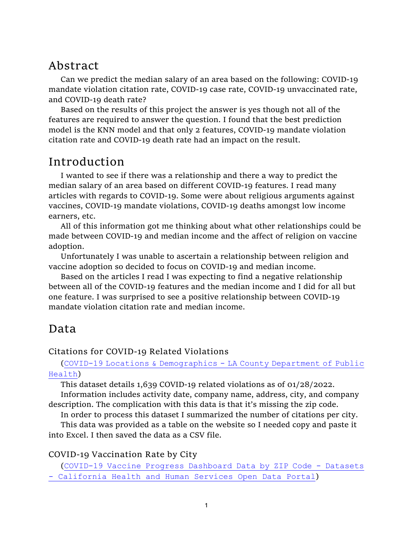# Abstract

Can we predict the median salary of an area based on the following: COVID-19 mandate violation citation rate, COVID-19 case rate, COVID-19 unvaccinated rate, and COVID-19 death rate?

Based on the results of this project the answer is yes though not all of the features are required to answer the question. I found that the best prediction model is the KNN model and that only 2 features, COVID-19 mandate violation citation rate and COVID-19 death rate had an impact on the result.

# Introduction

I wanted to see if there was a relationship and there a way to predict the median salary of an area based on different COVID-19 features. I read many articles with regards to COVID-19. Some were about religious arguments against vaccines, COVID-19 mandate violations, COVID-19 deaths amongst low income earners, etc.

All of this information got me thinking about what other relationships could be made between COVID-19 and median income and the affect of religion on vaccine adoption.

Unfortunately I was unable to ascertain a relationship between religion and vaccine adoption so decided to focus on COVID-19 and median income.

Based on the articles I read I was expecting to find a negative relationship between all of the COVID-19 features and the median income and I did for all but one feature. I was surprised to see a positive relationship between COVID-19 mandate violation citation rate and median income.

# Data

Citations for COVID-19 Related Violations

(COVID-19 Locations & Demographics - LA County Department of Public Health)

This dataset details 1,639 COVID-19 related violations as of 01/28/2022.

Information includes activity date, company name, address, city, and company description. The complication with this data is that it's missing the zip code.

In order to process this dataset I summarized the number of citations per city.

This data was provided as a table on the website so I needed copy and paste it into Excel. I then saved the data as a CSV file.

## COVID-19 Vaccination Rate by City

(COVID-19 Vaccine Progress Dashboard Data by ZIP Code - Datasets - California Health and Human Services Open Data Portal)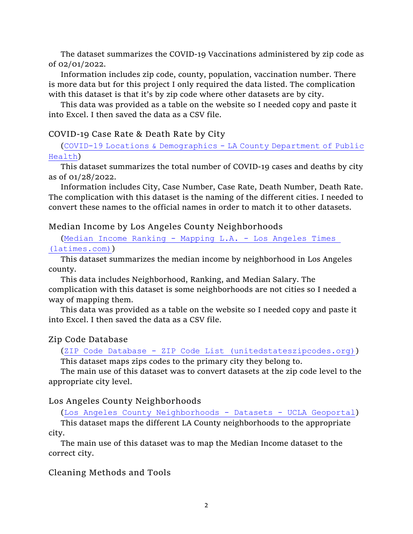The dataset summarizes the COVID-19 Vaccinations administered by zip code as of 02/01/2022.

Information includes zip code, county, population, vaccination number. There is more data but for this project I only required the data listed. The complication with this dataset is that it's by zip code where other datasets are by city.

This data was provided as a table on the website so I needed copy and paste it into Excel. I then saved the data as a CSV file.

### COVID-19 Case Rate & Death Rate by City

(COVID-19 Locations & Demographics - LA County Department of Public Health)

This dataset summarizes the total number of COVID-19 cases and deaths by city as of 01/28/2022.

Information includes City, Case Number, Case Rate, Death Number, Death Rate. The complication with this dataset is the naming of the different cities. I needed to convert these names to the official names in order to match it to other datasets.

## Median Income by Los Angeles County Neighborhoods

(Median Income Ranking - Mapping L.A. - Los Angeles Times (latimes.com))

This dataset summarizes the median income by neighborhood in Los Angeles county.

This data includes Neighborhood, Ranking, and Median Salary. The complication with this dataset is some neighborhoods are not cities so I needed a way of mapping them.

This data was provided as a table on the website so I needed copy and paste it into Excel. I then saved the data as a CSV file.

## Zip Code Database

(ZIP Code Database - ZIP Code List (unitedstateszipcodes.org)) This dataset maps zips codes to the primary city they belong to.

The main use of this dataset was to convert datasets at the zip code level to the appropriate city level.

### Los Angeles County Neighborhoods

(Los Angeles County Neighborhoods - Datasets - UCLA Geoportal)

This dataset maps the different LA County neighborhoods to the appropriate city.

The main use of this dataset was to map the Median Income dataset to the correct city.

Cleaning Methods and Tools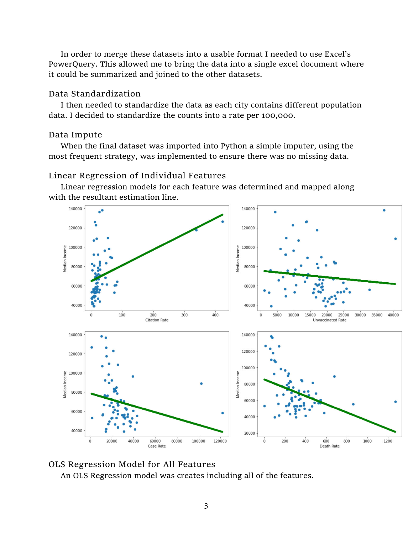In order to merge these datasets into a usable format I needed to use Excel's PowerQuery. This allowed me to bring the data into a single excel document where it could be summarized and joined to the other datasets.

## Data Standardization

I then needed to standardize the data as each city contains different population data. I decided to standardize the counts into a rate per 100,000.

## Data Impute

When the final dataset was imported into Python a simple imputer, using the most frequent strategy, was implemented to ensure there was no missing data.

## Linear Regression of Individual Features

Linear regression models for each feature was determined and mapped along with the resultant estimation line.





An OLS Regression model was creates including all of the features.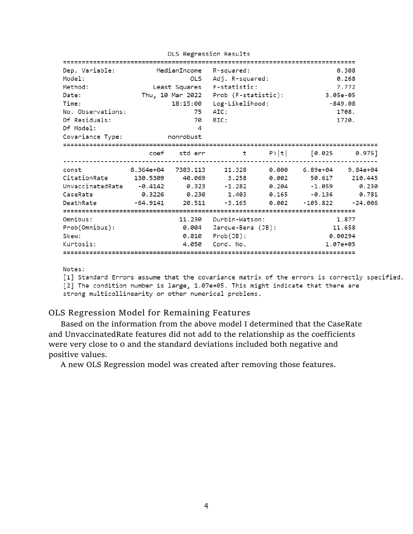| Dep. Variable:<br>Model:<br>Method:<br>Date:<br>Time:                                                                       | MedianIncome R-squared:<br>Least Squares F-statistic: |                               | OLS Adj. R-squared:<br>Thu, 10 Mar 2022 Prob (F-statistic):<br>18:15:00 Log-Likelihood: |  | 0.308<br>0.268<br>7.772<br>3.05e-05<br>$-849.08$                   |                |  |  |  |  |
|-----------------------------------------------------------------------------------------------------------------------------|-------------------------------------------------------|-------------------------------|-----------------------------------------------------------------------------------------|--|--------------------------------------------------------------------|----------------|--|--|--|--|
| No. Observations:<br>Df Residuals:<br>Df Model:<br>Covariance Type:                                                         | nonrobust                                             | 75<br>70<br>4                 | AIC:<br>BIC:                                                                            |  |                                                                    | 1708.<br>1720. |  |  |  |  |
|                                                                                                                             |                                                       |                               | coef std err t  P> t  [0.025 0.975]                                                     |  |                                                                    |                |  |  |  |  |
| const<br>CitationRate 130.5309 40.069 3.258 0.002 50.617 210.445<br>UnvaccinatedRate -0.4142 0.323<br>CaseRate<br>DeathRate | 8.364e+04 7383.113<br>-64.9141 20.511                 |                               |                                                                                         |  | $-1.282$ $0.204$ $-1.059$<br>$-3.165$ $0.002$ $-105.822$ $-24.006$ | 0.230<br>0.781 |  |  |  |  |
| Omnibus:<br>Prob(Omnibus):<br>Skew:<br>Kurtosis:                                                                            |                                                       | 0.004<br>4.050<br>=========== | 11.230 Durbin-Watson:<br>Jarque-Bera (JB):<br>$0.810$ $Prob(JB)$ :<br>Cond. No.         |  | ====================<br>1.877<br>11.658<br>0.00294<br>1.07e+05     |                |  |  |  |  |

OLS Regression Results

Notes:

[1] Standard Errors assume that the covariance matrix of the errors is correctly specified. [2] The condition number is large, 1.07e+05. This might indicate that there are strong multicollinearity or other numerical problems.

### OLS Regression Model for Remaining Features

Based on the information from the above model I determined that the CaseRate and UnvaccinatedRate features did not add to the relationship as the coefficients were very close to 0 and the standard deviations included both negative and positive values.

A new OLS Regression model was created after removing those features.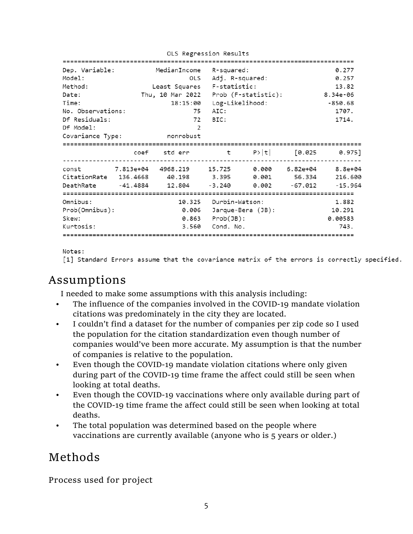OLS Regression Results

| Dep. Variable:                                          | MedianIncome R-squared:                                |                              |                                       |  | 0.277    |
|---------------------------------------------------------|--------------------------------------------------------|------------------------------|---------------------------------------|--|----------|
| Model:                                                  | OLS                                                    |                              | Adj. R-squared:                       |  | 0.257    |
| Method:                                                 | Least Squares F-statistic:                             |                              |                                       |  | 13.82    |
| Date:                                                   |                                                        |                              | Thu, 10 Mar 2022  Prob (F-statistic): |  | 8.34e-06 |
| Time:                                                   |                                                        | 18:15:00 Log-Likelihood:     |                                       |  | -850.68  |
| No. Observations:                                       | 75                                                     |                              | AIC:                                  |  | 1707.    |
| Df Residuals:                                           | 72                                                     | BIC:                         |                                       |  | 1714.    |
|                                                         | 2                                                      |                              |                                       |  |          |
| Df Model:                                               |                                                        |                              |                                       |  |          |
| Covariance Type:                                        | nonrobust                                              |                              |                                       |  |          |
|                                                         |                                                        |                              |                                       |  |          |
|                                                         | coef stderr t $P> t $ [0.025 0.975]                    |                              |                                       |  |          |
|                                                         | const 7.813e+04 4968.219 15.725 0.000 6.82e+04 8.8e+04 |                              |                                       |  |          |
| CitationRate 136.4668 40.198 3.395 0.001 56.334 216.600 |                                                        |                              |                                       |  |          |
|                                                         | DeathRate -41.4884 12.804 -3.240 0.002 -67.012 -15.964 |                              |                                       |  |          |
|                                                         |                                                        |                              |                                       |  |          |
| Omnibus:                                                |                                                        |                              | 10.325 Durbin-Watson:                 |  | 1.882    |
| Prob(Omnibus):                                          |                                                        | $0.006$ Jarque-Bera $(JB)$ : |                                       |  | 10.291   |
| Skew:                                                   |                                                        | $0.863$ Prob $(JB)$ :        |                                       |  | 0.00583  |
| Kurtosis:                                               | 3.560                                                  | Cond. No.                    |                                       |  | 743.     |
|                                                         |                                                        |                              |                                       |  |          |
|                                                         |                                                        |                              |                                       |  |          |

Notes:

[1] Standard Errors assume that the covariance matrix of the errors is correctly specified.

# Assumptions

I needed to make some assumptions with this analysis including:

- The influence of the companies involved in the COVID-19 mandate violation citations was predominately in the city they are located.
- I couldn't find a dataset for the number of companies per zip code so I used the population for the citation standardization even though number of companies would've been more accurate. My assumption is that the number of companies is relative to the population.
- Even though the COVID-19 mandate violation citations where only given during part of the COVID-19 time frame the affect could still be seen when looking at total deaths.
- Even though the COVID-19 vaccinations where only available during part of the COVID-19 time frame the affect could still be seen when looking at total deaths.
- The total population was determined based on the people where vaccinations are currently available (anyone who is 5 years or older.)

# Methods

Process used for project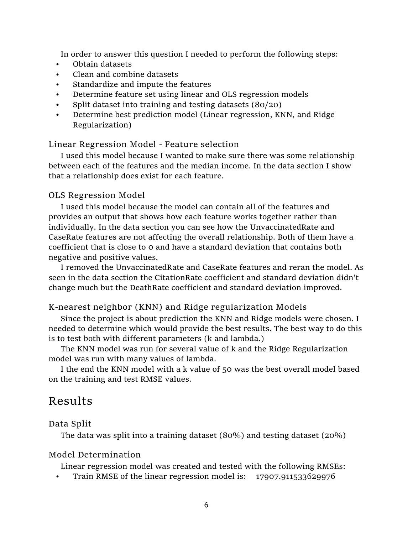In order to answer this question I needed to perform the following steps:

- Obtain datasets
- Clean and combine datasets
- Standardize and impute the features
- Determine feature set using linear and OLS regression models
- Split dataset into training and testing datasets (80/20)
- Determine best prediction model (Linear regression, KNN, and Ridge Regularization)

### Linear Regression Model - Feature selection

I used this model because I wanted to make sure there was some relationship between each of the features and the median income. In the data section I show that a relationship does exist for each feature.

#### OLS Regression Model

I used this model because the model can contain all of the features and provides an output that shows how each feature works together rather than individually. In the data section you can see how the UnvaccinatedRate and CaseRate features are not affecting the overall relationship. Both of them have a coefficient that is close to 0 and have a standard deviation that contains both negative and positive values.

I removed the UnvaccinatedRate and CaseRate features and reran the model. As seen in the data section the CitationRate coefficient and standard deviation didn't change much but the DeathRate coefficient and standard deviation improved.

#### K-nearest neighbor (KNN) and Ridge regularization Models

Since the project is about prediction the KNN and Ridge models were chosen. I needed to determine which would provide the best results. The best way to do this is to test both with different parameters (k and lambda.)

The KNN model was run for several value of k and the Ridge Regularization model was run with many values of lambda.

I the end the KNN model with a k value of 50 was the best overall model based on the training and test RMSE values.

# Results

#### Data Split

The data was split into a training dataset  $(80\%)$  and testing dataset  $(20\%)$ 

#### Model Determination

Linear regression model was created and tested with the following RMSEs:

• Train RMSE of the linear regression model is: 17907.911533629976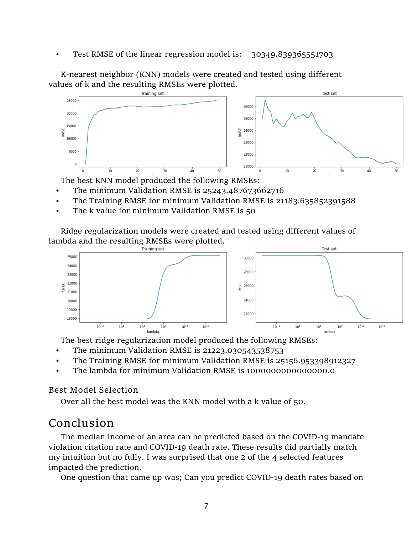• Test RMSE of the linear regression model is: 30349.839365551703

K-nearest neighbor (KNN) models were created and tested using different values of k and the resulting RMSEs were plotted.



The best KNN model produced the following RMSEs:

- The minimum Validation RMSE is 25243.487673662716
- The Training RMSE for minimum Validation RMSE is 21183.635852391588
- The k value for minimum Validation RMSE is 50

Ridge regularization models were created and tested using different values of lambda and the resulting RMSEs were plotted.



The best ridge regularization model produced the following RMSEs:

- The minimum Validation RMSE is 21223.030543538753
- The Training RMSE for minimum Validation RMSE is 25156.953398912327
- The lambda for minimum Validation RMSE is 1000000000000000.0

### Best Model Selection

Over all the best model was the KNN model with a k value of 50.

# Conclusion

The median income of an area can be predicted based on the COVID-19 mandate violation citation rate and COVID-19 death rate. These results did partially match my intuition but no fully. I was surprised that one 2 of the 4 selected features impacted the prediction.

One question that came up was; Can you predict COVID-19 death rates based on